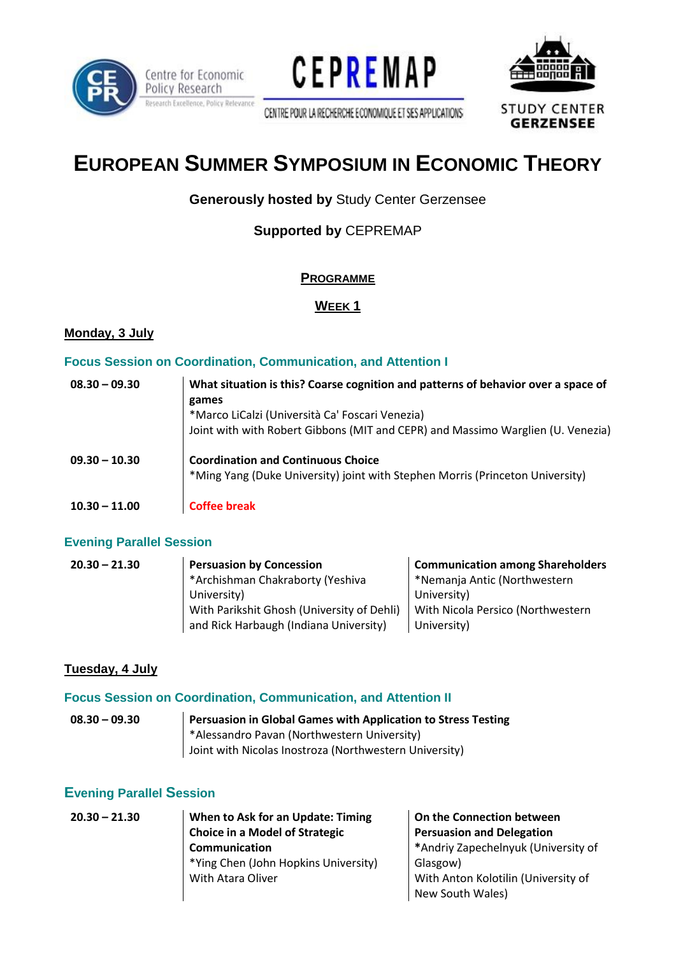

Centre for Economic Policy Research Research Excellence, Policy Relevance





CENTRE POUR LA RECHERCHE ECONOMIQUE ET SES APPLICATIONS

**STUDY CENTER GERZENSEE** 

# **EUROPEAN SUMMER SYMPOSIUM IN ECONOMIC THEORY**

## **Generously hosted by Study Center Gerzensee**

## **Supported by CEPREMAP**

#### **PROGRAMME**

#### **WEEK 1**

#### **Monday, 3 July**

#### **Focus Session on Coordination, Communication, and Attention I**

| $08.30 - 09.30$ | What situation is this? Coarse cognition and patterns of behavior over a space of<br>games<br>*Marco LiCalzi (Università Ca' Foscari Venezia)<br>Joint with with Robert Gibbons (MIT and CEPR) and Massimo Warglien (U. Venezia) |
|-----------------|----------------------------------------------------------------------------------------------------------------------------------------------------------------------------------------------------------------------------------|
| $09.30 - 10.30$ | <b>Coordination and Continuous Choice</b><br>*Ming Yang (Duke University) joint with Stephen Morris (Princeton University)                                                                                                       |
| $10.30 - 11.00$ | <b>Coffee break</b>                                                                                                                                                                                                              |

#### **Evening Parallel Session**

| $20.30 - 21.30$ | <b>Persuasion by Concession</b>            | <b>Communication among Shareholders</b> |
|-----------------|--------------------------------------------|-----------------------------------------|
|                 | *Archishman Chakraborty (Yeshiva           | *Nemanja Antic (Northwestern            |
|                 | University)                                | University)                             |
|                 | With Parikshit Ghosh (University of Dehli) | With Nicola Persico (Northwestern       |
|                 | and Rick Harbaugh (Indiana University)     | University)                             |

#### **Tuesday, 4 July**

#### **Focus Session on Coordination, Communication, and Attention II**

| $08.30 - 09.30$ | Persuasion in Global Games with Application to Stress Testing |
|-----------------|---------------------------------------------------------------|
|                 | *Alessandro Pavan (Northwestern University)                   |
|                 | Joint with Nicolas Inostroza (Northwestern University)        |

#### **Evening Parallel Session**

| $20.30 - 21.30$ | When to Ask for an Update: Timing     | On the Connection between           |
|-----------------|---------------------------------------|-------------------------------------|
|                 | <b>Choice in a Model of Strategic</b> | <b>Persuasion and Delegation</b>    |
|                 | Communication                         | *Andriy Zapechelnyuk (University of |
|                 | *Ying Chen (John Hopkins University)  | Glasgow)                            |
|                 | With Atara Oliver                     | With Anton Kolotilin (University of |
|                 |                                       | New South Wales)                    |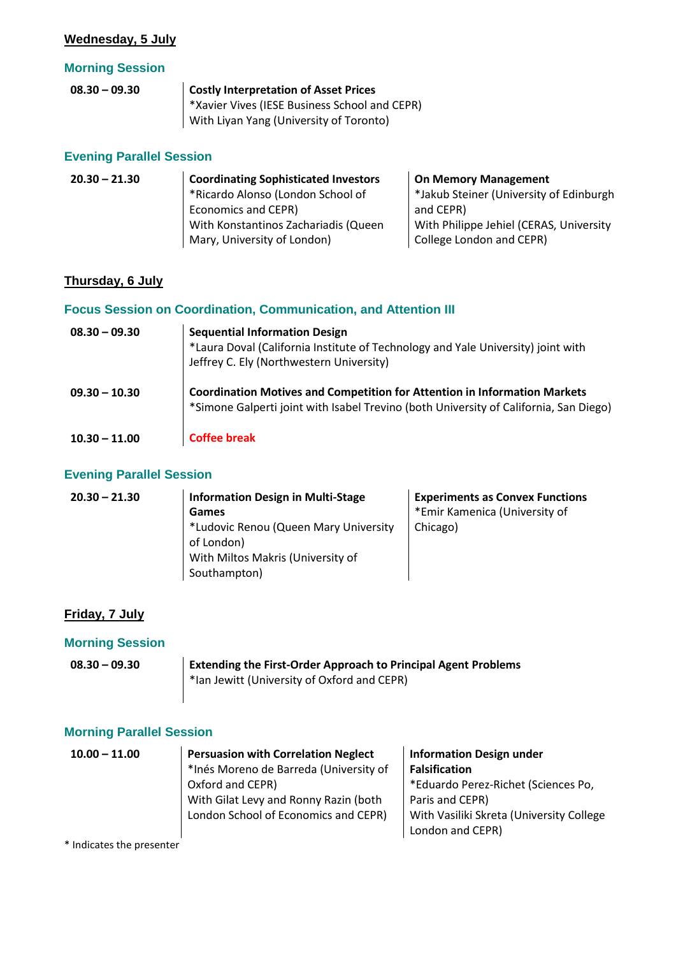#### **Wednesday, 5 July**

#### **Morning Session**

| $08.30 - 09.30$ | Costly Interpretation of Asset Prices         |
|-----------------|-----------------------------------------------|
|                 | *Xavier Vives (IESE Business School and CEPR) |
|                 | With Liyan Yang (University of Toronto)       |

#### **Evening Parallel Session**

| $20.30 - 21.30$ | <b>Coordinating Sophisticated Investors</b> | <b>On Memory Management</b>             |
|-----------------|---------------------------------------------|-----------------------------------------|
|                 | *Ricardo Alonso (London School of           | *Jakub Steiner (University of Edinburgh |
|                 | Economics and CEPR)                         | and CEPR)                               |
|                 | With Konstantinos Zachariadis (Queen        | With Philippe Jehiel (CERAS, University |
|                 | Mary, University of London)                 | College London and CEPR)                |

#### **Thursday, 6 July**

## **Focus Session on Coordination, Communication, and Attention III**

| $08.30 - 09.30$ | <b>Sequential Information Design</b><br>*Laura Doval (California Institute of Technology and Yale University) joint with<br>Jeffrey C. Ely (Northwestern University)      |
|-----------------|---------------------------------------------------------------------------------------------------------------------------------------------------------------------------|
| $09.30 - 10.30$ | <b>Coordination Motives and Competition for Attention in Information Markets</b><br>*Simone Galperti joint with Isabel Trevino (both University of California, San Diego) |
| $10.30 - 11.00$ | <b>Coffee break</b>                                                                                                                                                       |

#### **Evening Parallel Session**

| $20.30 - 21.30$ | <b>Information Design in Multi-Stage</b>            | <b>Experiments as Convex Functions</b> |
|-----------------|-----------------------------------------------------|----------------------------------------|
|                 | Games                                               | *Emir Kamenica (University of          |
|                 | *Ludovic Renou (Queen Mary University<br>of London) | Chicago)                               |
|                 | With Miltos Makris (University of                   |                                        |
|                 | Southampton)                                        |                                        |

### **Friday, 7 July**

## **Morning Session**

| $08.30 - 09.30$ | <b>Extending the First-Order Approach to Principal Agent Problems</b> |  |  |
|-----------------|-----------------------------------------------------------------------|--|--|
|                 | *Ian Jewitt (University of Oxford and CEPR)                           |  |  |
|                 |                                                                       |  |  |

## **Morning Parallel Session**

| $10.00 - 11.00$ | <b>Persuasion with Correlation Neglect</b> | <b>Information Design under</b>          |
|-----------------|--------------------------------------------|------------------------------------------|
|                 | *Inés Moreno de Barreda (University of     | <b>Falsification</b>                     |
|                 | Oxford and CEPR)                           | *Eduardo Perez-Richet (Sciences Po,      |
|                 | With Gilat Levy and Ronny Razin (both      | Paris and CEPR)                          |
|                 | London School of Economics and CEPR)       | With Vasiliki Skreta (University College |
|                 |                                            | London and CEPR)                         |

\* Indicates the presenter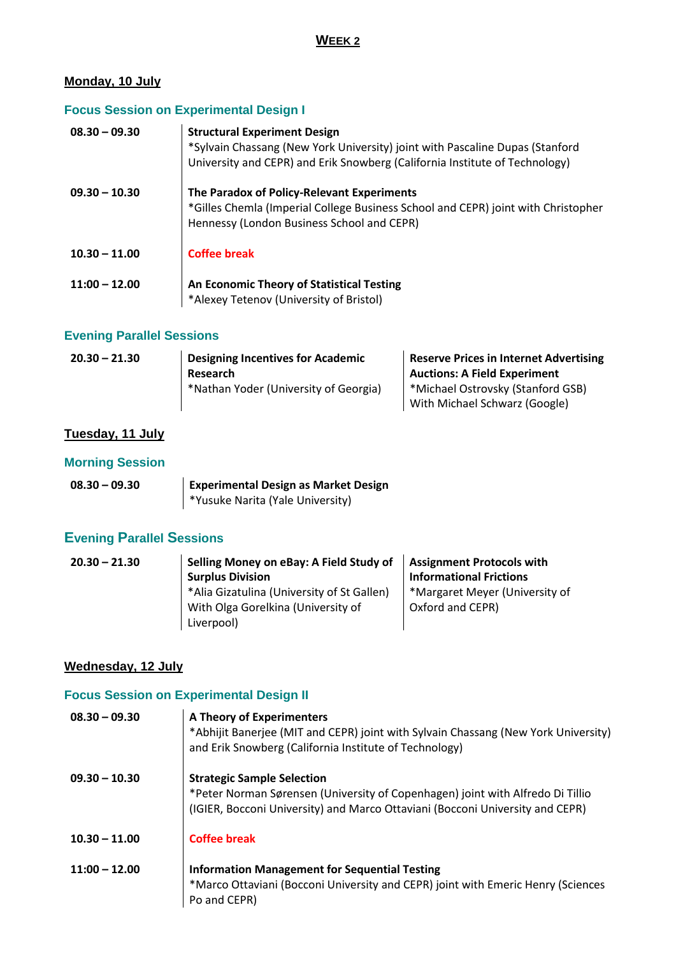#### **Monday, 10 July**

## **Focus Session on Experimental Design I**

| $08.30 - 09.30$ | <b>Structural Experiment Design</b><br>*Sylvain Chassang (New York University) joint with Pascaline Dupas (Stanford<br>University and CEPR) and Erik Snowberg (California Institute of Technology) |
|-----------------|----------------------------------------------------------------------------------------------------------------------------------------------------------------------------------------------------|
| $09.30 - 10.30$ | The Paradox of Policy-Relevant Experiments<br>*Gilles Chemla (Imperial College Business School and CEPR) joint with Christopher<br>Hennessy (London Business School and CEPR)                      |
| $10.30 - 11.00$ | Coffee break                                                                                                                                                                                       |
| $11:00 - 12.00$ | An Economic Theory of Statistical Testing<br>*Alexey Tetenov (University of Bristol)                                                                                                               |

#### **Evening Parallel Sessions**

| $20.30 - 21.30$ | <b>Designing Incentives for Academic</b> | <b>Reserve Prices in Internet Advertising</b> |
|-----------------|------------------------------------------|-----------------------------------------------|
|                 | Research                                 | <b>Auctions: A Field Experiment</b>           |
|                 | *Nathan Yoder (University of Georgia)    | *Michael Ostrovsky (Stanford GSB)             |
|                 |                                          | With Michael Schwarz (Google)                 |

## **Tuesday, 11 July**

#### **Morning Session**

| $08.30 - 09.30$ | <b>Experimental Design as Market Design</b> |  |
|-----------------|---------------------------------------------|--|
|                 | *Yusuke Narita (Yale University)            |  |

## **Evening Parallel Sessions**

| $20.30 - 21.30$ | Selling Money on eBay: A Field Study of    | <b>Assignment Protocols with</b> |
|-----------------|--------------------------------------------|----------------------------------|
|                 | <b>Surplus Division</b>                    | <b>Informational Frictions</b>   |
|                 | *Alia Gizatulina (University of St Gallen) | *Margaret Meyer (University of   |
|                 | With Olga Gorelkina (University of         | Oxford and CEPR)                 |
|                 | Liverpool)                                 |                                  |
|                 |                                            |                                  |

#### **Wednesday, 12 July**

## **Focus Session on Experimental Design II**

| $08.30 - 09.30$ | <b>A Theory of Experimenters</b><br>*Abhijit Banerjee (MIT and CEPR) joint with Sylvain Chassang (New York University)<br>and Erik Snowberg (California Institute of Technology)                     |
|-----------------|------------------------------------------------------------------------------------------------------------------------------------------------------------------------------------------------------|
| $09.30 - 10.30$ | <b>Strategic Sample Selection</b><br>*Peter Norman Sørensen (University of Copenhagen) joint with Alfredo Di Tillio<br>(IGIER, Bocconi University) and Marco Ottaviani (Bocconi University and CEPR) |
| $10.30 - 11.00$ | Coffee break                                                                                                                                                                                         |
| $11:00 - 12.00$ | <b>Information Management for Sequential Testing</b><br>*Marco Ottaviani (Bocconi University and CEPR) joint with Emeric Henry (Sciences<br>Po and CEPR)                                             |